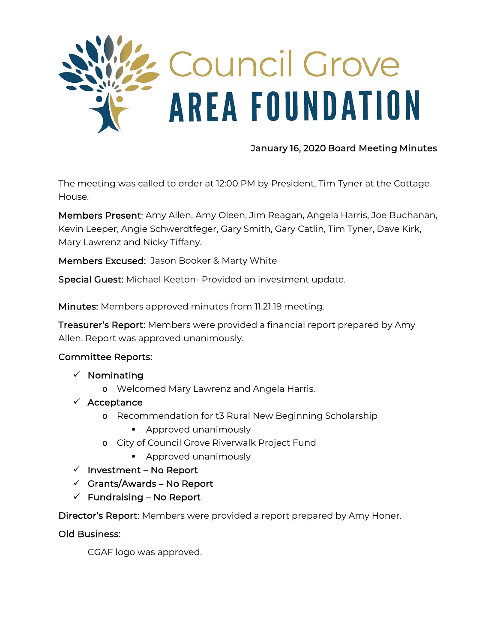

## January 16, 2020 Board Meeting Minutes

The meeting was called to order at 12:00 PM by President, Tim Tyner at the Cottage House.

Members Present: Amy Allen, Amy Oleen, Jim Reagan, Angela Harris, Joe Buchanan, Kevin Leeper, Angie Schwerdtfeger, Gary Smith, Gary Catlin, Tim Tyner, Dave Kirk, Mary Lawrenz and Nicky Tiffany.

Members Excused: Jason Booker & Marty White

Special Guest: Michael Keeton- Provided an investment update.

Minutes: Members approved minutes from 11.21.19 meeting.

Treasurer's Report: Members were provided a financial report prepared by Amy Allen. Report was approved unanimously.

### Committee Reports:

- $\checkmark$  Nominating
	- o Welcomed Mary Lawrenz and Angela Harris.
- $\checkmark$  Acceptance
	- o Recommendation for t3 Rural New Beginning Scholarship
		- **Approved unanimously**
	- o City of Council Grove Riverwalk Project Fund
		- **Approved unanimously**
- $\checkmark$  Investment No Report
- $\checkmark$  Grants/Awards No Report
- $\checkmark$  Fundraising No Report

Director's Report: Members were provided a report prepared by Amy Honer.

### Old Business:

CGAF logo was approved.